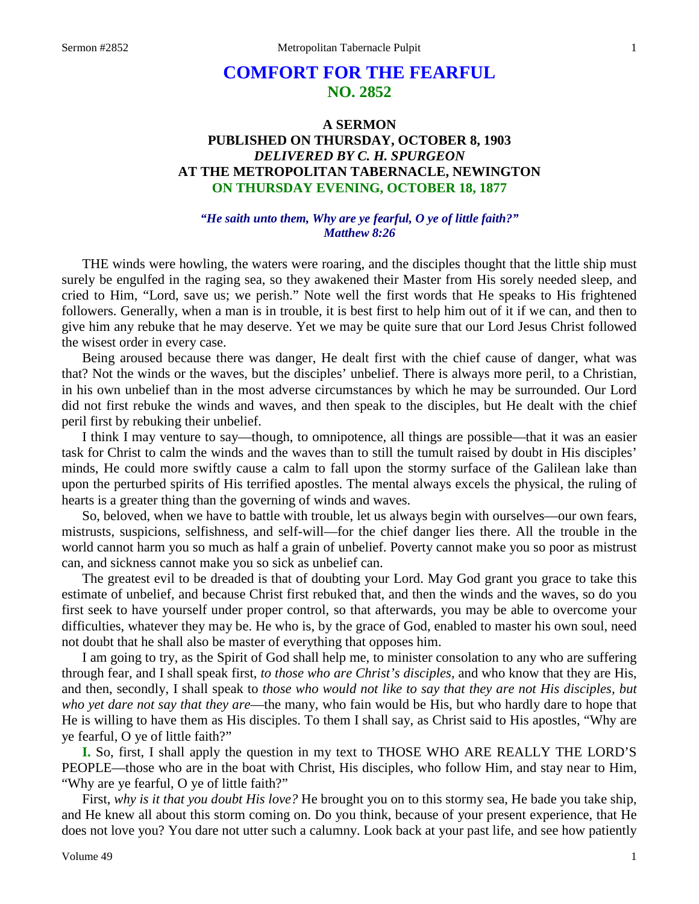# **COMFORT FOR THE FEARFUL NO. 2852**

## **A SERMON PUBLISHED ON THURSDAY, OCTOBER 8, 1903** *DELIVERED BY C. H. SPURGEON* **AT THE METROPOLITAN TABERNACLE, NEWINGTON ON THURSDAY EVENING, OCTOBER 18, 1877**

## *"He saith unto them, Why are ye fearful, O ye of little faith?" Matthew 8:26*

THE winds were howling, the waters were roaring, and the disciples thought that the little ship must surely be engulfed in the raging sea, so they awakened their Master from His sorely needed sleep, and cried to Him, "Lord, save us; we perish." Note well the first words that He speaks to His frightened followers. Generally, when a man is in trouble, it is best first to help him out of it if we can, and then to give him any rebuke that he may deserve. Yet we may be quite sure that our Lord Jesus Christ followed the wisest order in every case.

Being aroused because there was danger, He dealt first with the chief cause of danger, what was that? Not the winds or the waves, but the disciples' unbelief. There is always more peril, to a Christian, in his own unbelief than in the most adverse circumstances by which he may be surrounded. Our Lord did not first rebuke the winds and waves, and then speak to the disciples, but He dealt with the chief peril first by rebuking their unbelief.

I think I may venture to say—though, to omnipotence, all things are possible—that it was an easier task for Christ to calm the winds and the waves than to still the tumult raised by doubt in His disciples' minds, He could more swiftly cause a calm to fall upon the stormy surface of the Galilean lake than upon the perturbed spirits of His terrified apostles. The mental always excels the physical, the ruling of hearts is a greater thing than the governing of winds and waves.

So, beloved, when we have to battle with trouble, let us always begin with ourselves—our own fears, mistrusts, suspicions, selfishness, and self-will—for the chief danger lies there. All the trouble in the world cannot harm you so much as half a grain of unbelief. Poverty cannot make you so poor as mistrust can, and sickness cannot make you so sick as unbelief can.

The greatest evil to be dreaded is that of doubting your Lord. May God grant you grace to take this estimate of unbelief, and because Christ first rebuked that, and then the winds and the waves, so do you first seek to have yourself under proper control, so that afterwards, you may be able to overcome your difficulties, whatever they may be. He who is, by the grace of God, enabled to master his own soul, need not doubt that he shall also be master of everything that opposes him.

I am going to try, as the Spirit of God shall help me, to minister consolation to any who are suffering through fear, and I shall speak first, *to those who are Christ's disciples,* and who know that they are His, and then, secondly, I shall speak to *those who would not like to say that they are not His disciples, but who yet dare not say that they are*—the many, who fain would be His, but who hardly dare to hope that He is willing to have them as His disciples. To them I shall say, as Christ said to His apostles, "Why are ye fearful, O ye of little faith?"

**I.** So, first, I shall apply the question in my text to THOSE WHO ARE REALLY THE LORD'S PEOPLE—those who are in the boat with Christ, His disciples, who follow Him, and stay near to Him, "Why are ye fearful, O ye of little faith?"

First, *why is it that you doubt His love?* He brought you on to this stormy sea, He bade you take ship, and He knew all about this storm coming on. Do you think, because of your present experience, that He does not love you? You dare not utter such a calumny. Look back at your past life, and see how patiently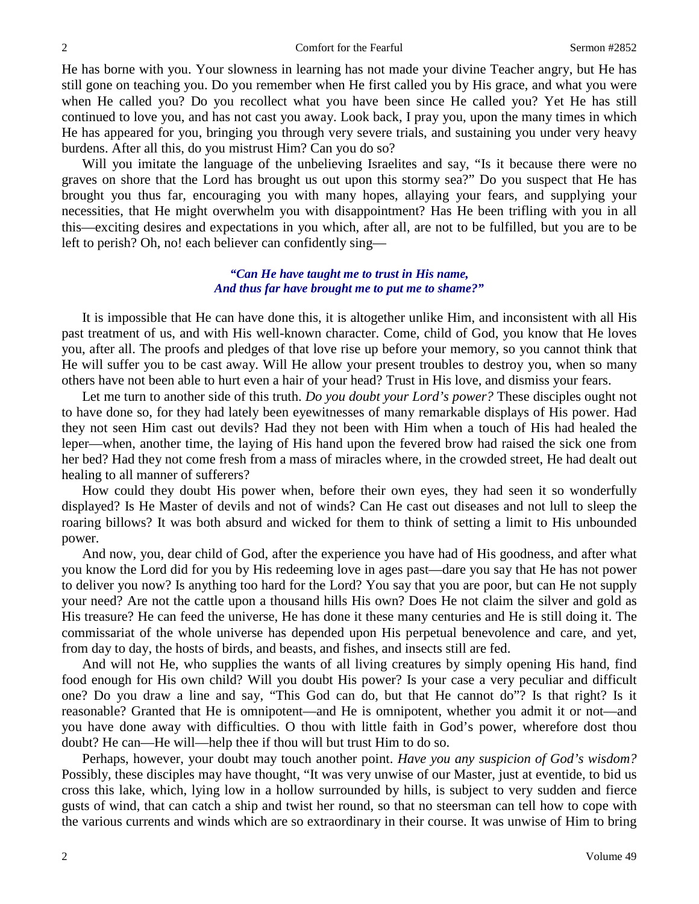2 Comfort for the Fearful Sermon #2852

He has borne with you. Your slowness in learning has not made your divine Teacher angry, but He has still gone on teaching you. Do you remember when He first called you by His grace, and what you were when He called you? Do you recollect what you have been since He called you? Yet He has still continued to love you, and has not cast you away. Look back, I pray you, upon the many times in which He has appeared for you, bringing you through very severe trials, and sustaining you under very heavy burdens. After all this, do you mistrust Him? Can you do so?

Will you imitate the language of the unbelieving Israelites and say, "Is it because there were no graves on shore that the Lord has brought us out upon this stormy sea?" Do you suspect that He has brought you thus far, encouraging you with many hopes, allaying your fears, and supplying your necessities, that He might overwhelm you with disappointment? Has He been trifling with you in all this—exciting desires and expectations in you which, after all, are not to be fulfilled, but you are to be left to perish? Oh, no! each believer can confidently sing—

## *"Can He have taught me to trust in His name, And thus far have brought me to put me to shame?"*

It is impossible that He can have done this, it is altogether unlike Him, and inconsistent with all His past treatment of us, and with His well-known character. Come, child of God, you know that He loves you, after all. The proofs and pledges of that love rise up before your memory, so you cannot think that He will suffer you to be cast away. Will He allow your present troubles to destroy you, when so many others have not been able to hurt even a hair of your head? Trust in His love, and dismiss your fears.

Let me turn to another side of this truth. *Do you doubt your Lord's power?* These disciples ought not to have done so, for they had lately been eyewitnesses of many remarkable displays of His power. Had they not seen Him cast out devils? Had they not been with Him when a touch of His had healed the leper—when, another time, the laying of His hand upon the fevered brow had raised the sick one from her bed? Had they not come fresh from a mass of miracles where, in the crowded street, He had dealt out healing to all manner of sufferers?

How could they doubt His power when, before their own eyes, they had seen it so wonderfully displayed? Is He Master of devils and not of winds? Can He cast out diseases and not lull to sleep the roaring billows? It was both absurd and wicked for them to think of setting a limit to His unbounded power.

And now, you, dear child of God, after the experience you have had of His goodness, and after what you know the Lord did for you by His redeeming love in ages past—dare you say that He has not power to deliver you now? Is anything too hard for the Lord? You say that you are poor, but can He not supply your need? Are not the cattle upon a thousand hills His own? Does He not claim the silver and gold as His treasure? He can feed the universe, He has done it these many centuries and He is still doing it. The commissariat of the whole universe has depended upon His perpetual benevolence and care, and yet, from day to day, the hosts of birds, and beasts, and fishes, and insects still are fed.

And will not He, who supplies the wants of all living creatures by simply opening His hand, find food enough for His own child? Will you doubt His power? Is your case a very peculiar and difficult one? Do you draw a line and say, "This God can do, but that He cannot do"? Is that right? Is it reasonable? Granted that He is omnipotent—and He is omnipotent, whether you admit it or not—and you have done away with difficulties. O thou with little faith in God's power, wherefore dost thou doubt? He can—He will—help thee if thou will but trust Him to do so.

Perhaps, however, your doubt may touch another point. *Have you any suspicion of God's wisdom?*  Possibly, these disciples may have thought, "It was very unwise of our Master, just at eventide, to bid us cross this lake, which, lying low in a hollow surrounded by hills, is subject to very sudden and fierce gusts of wind, that can catch a ship and twist her round, so that no steersman can tell how to cope with the various currents and winds which are so extraordinary in their course. It was unwise of Him to bring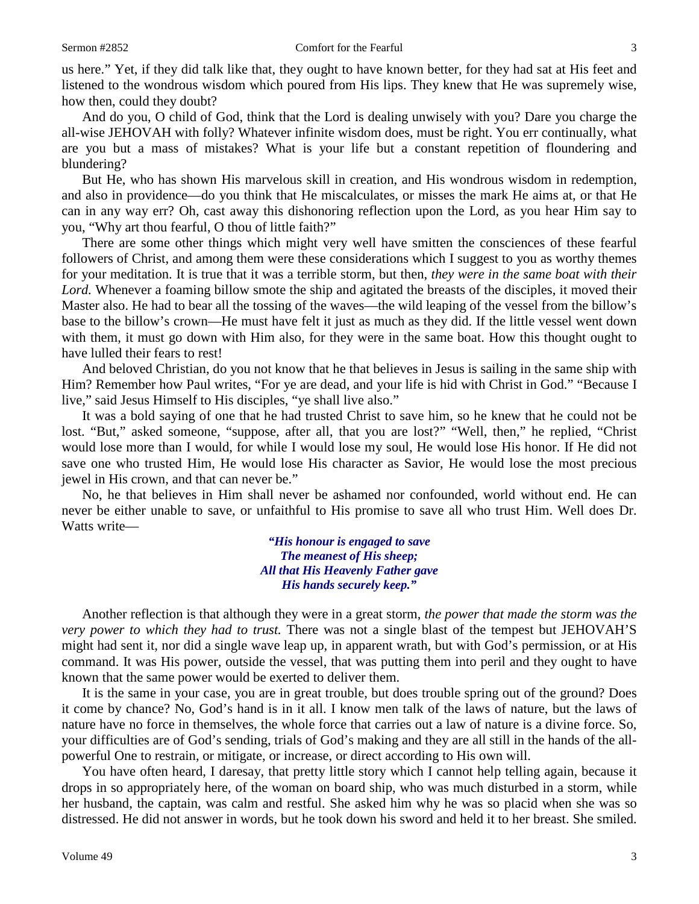us here." Yet, if they did talk like that, they ought to have known better, for they had sat at His feet and listened to the wondrous wisdom which poured from His lips. They knew that He was supremely wise, how then, could they doubt?

And do you, O child of God, think that the Lord is dealing unwisely with you? Dare you charge the all-wise JEHOVAH with folly? Whatever infinite wisdom does, must be right. You err continually, what are you but a mass of mistakes? What is your life but a constant repetition of floundering and blundering?

But He, who has shown His marvelous skill in creation, and His wondrous wisdom in redemption, and also in providence—do you think that He miscalculates, or misses the mark He aims at, or that He can in any way err? Oh, cast away this dishonoring reflection upon the Lord, as you hear Him say to you, "Why art thou fearful, O thou of little faith?"

There are some other things which might very well have smitten the consciences of these fearful followers of Christ, and among them were these considerations which I suggest to you as worthy themes for your meditation. It is true that it was a terrible storm, but then, *they were in the same boat with their Lord.* Whenever a foaming billow smote the ship and agitated the breasts of the disciples, it moved their Master also. He had to bear all the tossing of the waves—the wild leaping of the vessel from the billow's base to the billow's crown—He must have felt it just as much as they did. If the little vessel went down with them, it must go down with Him also, for they were in the same boat. How this thought ought to have lulled their fears to rest!

And beloved Christian, do you not know that he that believes in Jesus is sailing in the same ship with Him? Remember how Paul writes, "For ye are dead, and your life is hid with Christ in God." "Because I live," said Jesus Himself to His disciples, "ye shall live also."

It was a bold saying of one that he had trusted Christ to save him, so he knew that he could not be lost. "But," asked someone, "suppose, after all, that you are lost?" "Well, then," he replied, "Christ would lose more than I would, for while I would lose my soul, He would lose His honor. If He did not save one who trusted Him, He would lose His character as Savior, He would lose the most precious jewel in His crown, and that can never be."

No, he that believes in Him shall never be ashamed nor confounded, world without end. He can never be either unable to save, or unfaithful to His promise to save all who trust Him. Well does Dr. Watts write—

> *"His honour is engaged to save The meanest of His sheep; All that His Heavenly Father gave His hands securely keep."*

Another reflection is that although they were in a great storm, *the power that made the storm was the very power to which they had to trust.* There was not a single blast of the tempest but JEHOVAH'S might had sent it, nor did a single wave leap up, in apparent wrath, but with God's permission, or at His command. It was His power, outside the vessel, that was putting them into peril and they ought to have known that the same power would be exerted to deliver them.

It is the same in your case, you are in great trouble, but does trouble spring out of the ground? Does it come by chance? No, God's hand is in it all. I know men talk of the laws of nature, but the laws of nature have no force in themselves, the whole force that carries out a law of nature is a divine force. So, your difficulties are of God's sending, trials of God's making and they are all still in the hands of the allpowerful One to restrain, or mitigate, or increase, or direct according to His own will.

You have often heard, I daresay, that pretty little story which I cannot help telling again, because it drops in so appropriately here, of the woman on board ship, who was much disturbed in a storm, while her husband, the captain, was calm and restful. She asked him why he was so placid when she was so distressed. He did not answer in words, but he took down his sword and held it to her breast. She smiled.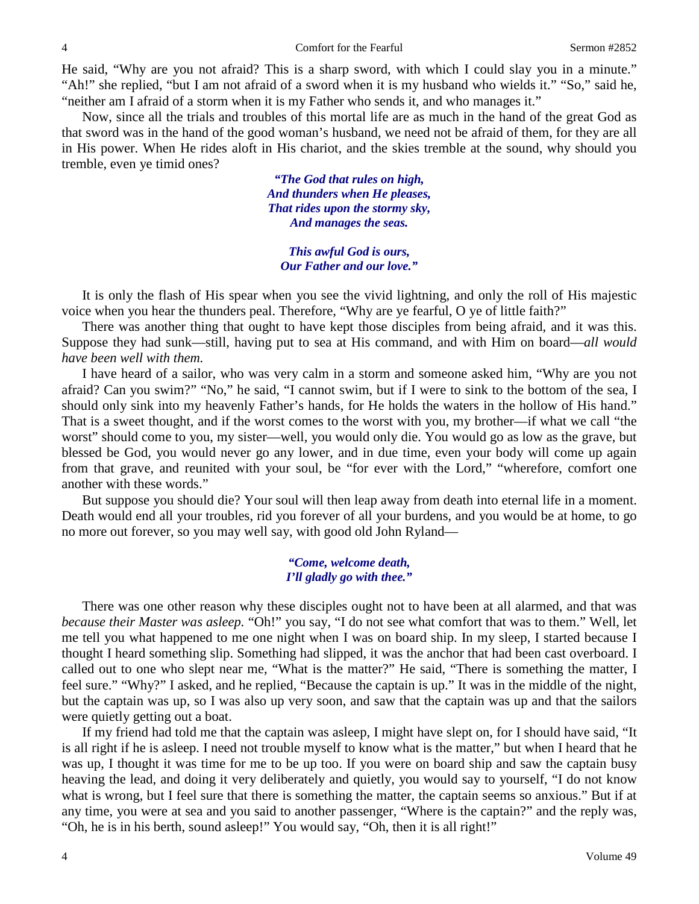He said, "Why are you not afraid? This is a sharp sword, with which I could slay you in a minute." "Ah!" she replied, "but I am not afraid of a sword when it is my husband who wields it." "So," said he, "neither am I afraid of a storm when it is my Father who sends it, and who manages it."

Now, since all the trials and troubles of this mortal life are as much in the hand of the great God as that sword was in the hand of the good woman's husband, we need not be afraid of them, for they are all in His power. When He rides aloft in His chariot, and the skies tremble at the sound, why should you tremble, even ye timid ones?

> *"The God that rules on high, And thunders when He pleases, That rides upon the stormy sky, And manages the seas.*

*This awful God is ours, Our Father and our love."*

It is only the flash of His spear when you see the vivid lightning, and only the roll of His majestic voice when you hear the thunders peal. Therefore, "Why are ye fearful, O ye of little faith?"

There was another thing that ought to have kept those disciples from being afraid, and it was this. Suppose they had sunk—still, having put to sea at His command, and with Him on board—*all would have been well with them.* 

I have heard of a sailor, who was very calm in a storm and someone asked him, "Why are you not afraid? Can you swim?" "No," he said, "I cannot swim, but if I were to sink to the bottom of the sea, I should only sink into my heavenly Father's hands, for He holds the waters in the hollow of His hand." That is a sweet thought, and if the worst comes to the worst with you, my brother—if what we call "the worst" should come to you, my sister—well, you would only die. You would go as low as the grave, but

blessed be God, you would never go any lower, and in due time, even your body will come up again from that grave, and reunited with your soul, be "for ever with the Lord," "wherefore, comfort one another with these words."

But suppose you should die? Your soul will then leap away from death into eternal life in a moment. Death would end all your troubles, rid you forever of all your burdens, and you would be at home, to go no more out forever, so you may well say, with good old John Ryland—

## *"Come, welcome death, I'll gladly go with thee."*

There was one other reason why these disciples ought not to have been at all alarmed, and that was *because their Master was asleep.* "Oh!" you say, "I do not see what comfort that was to them." Well, let me tell you what happened to me one night when I was on board ship. In my sleep, I started because I thought I heard something slip. Something had slipped, it was the anchor that had been cast overboard. I called out to one who slept near me, "What is the matter?" He said, "There is something the matter, I feel sure." "Why?" I asked, and he replied, "Because the captain is up." It was in the middle of the night, but the captain was up, so I was also up very soon, and saw that the captain was up and that the sailors were quietly getting out a boat.

If my friend had told me that the captain was asleep, I might have slept on, for I should have said, "It is all right if he is asleep. I need not trouble myself to know what is the matter," but when I heard that he was up, I thought it was time for me to be up too. If you were on board ship and saw the captain busy heaving the lead, and doing it very deliberately and quietly, you would say to yourself, "I do not know what is wrong, but I feel sure that there is something the matter, the captain seems so anxious." But if at any time, you were at sea and you said to another passenger, "Where is the captain?" and the reply was, "Oh, he is in his berth, sound asleep!" You would say, "Oh, then it is all right!"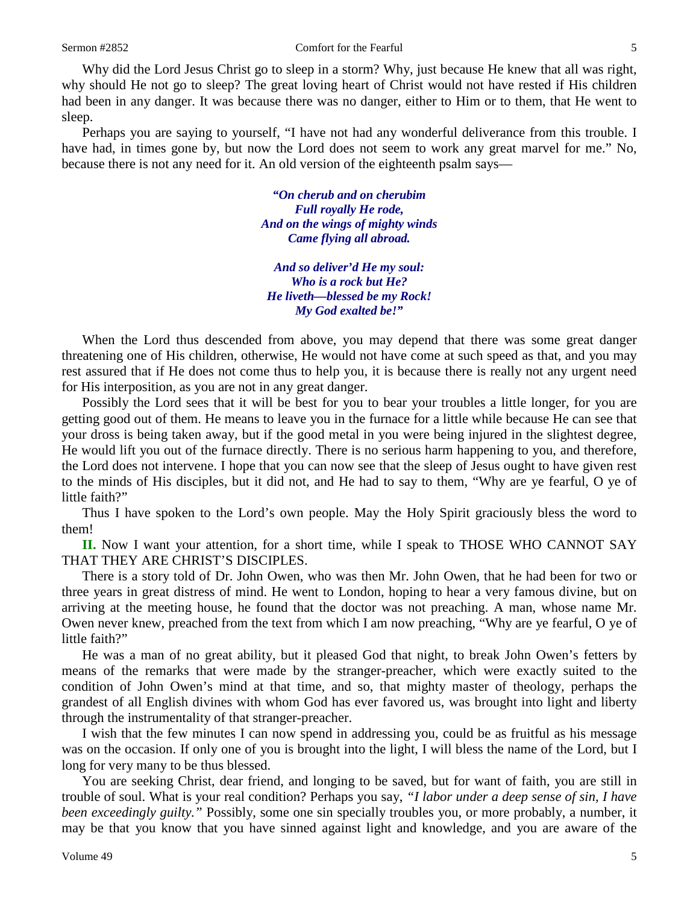Why did the Lord Jesus Christ go to sleep in a storm? Why, just because He knew that all was right, why should He not go to sleep? The great loving heart of Christ would not have rested if His children had been in any danger. It was because there was no danger, either to Him or to them, that He went to sleep.

Perhaps you are saying to yourself, "I have not had any wonderful deliverance from this trouble. I have had, in times gone by, but now the Lord does not seem to work any great marvel for me." No, because there is not any need for it. An old version of the eighteenth psalm says—

> *"On cherub and on cherubim Full royally He rode, And on the wings of mighty winds Came flying all abroad.*

*And so deliver'd He my soul: Who is a rock but He? He liveth—blessed be my Rock! My God exalted be!"*

When the Lord thus descended from above, you may depend that there was some great danger threatening one of His children, otherwise, He would not have come at such speed as that, and you may rest assured that if He does not come thus to help you, it is because there is really not any urgent need for His interposition, as you are not in any great danger.

Possibly the Lord sees that it will be best for you to bear your troubles a little longer, for you are getting good out of them. He means to leave you in the furnace for a little while because He can see that your dross is being taken away, but if the good metal in you were being injured in the slightest degree, He would lift you out of the furnace directly. There is no serious harm happening to you, and therefore, the Lord does not intervene. I hope that you can now see that the sleep of Jesus ought to have given rest to the minds of His disciples, but it did not, and He had to say to them, "Why are ye fearful, O ye of little faith?"

Thus I have spoken to the Lord's own people. May the Holy Spirit graciously bless the word to them!

**II.** Now I want your attention, for a short time, while I speak to THOSE WHO CANNOT SAY THAT THEY ARE CHRIST'S DISCIPLES.

There is a story told of Dr. John Owen, who was then Mr. John Owen, that he had been for two or three years in great distress of mind. He went to London, hoping to hear a very famous divine, but on arriving at the meeting house, he found that the doctor was not preaching. A man, whose name Mr. Owen never knew, preached from the text from which I am now preaching, "Why are ye fearful, O ye of little faith?"

He was a man of no great ability, but it pleased God that night, to break John Owen's fetters by means of the remarks that were made by the stranger-preacher, which were exactly suited to the condition of John Owen's mind at that time, and so, that mighty master of theology, perhaps the grandest of all English divines with whom God has ever favored us, was brought into light and liberty through the instrumentality of that stranger-preacher.

I wish that the few minutes I can now spend in addressing you, could be as fruitful as his message was on the occasion. If only one of you is brought into the light, I will bless the name of the Lord, but I long for very many to be thus blessed.

You are seeking Christ, dear friend, and longing to be saved, but for want of faith, you are still in trouble of soul. What is your real condition? Perhaps you say, *"I labor under a deep sense of sin, I have been exceedingly guilty."* Possibly, some one sin specially troubles you, or more probably, a number, it may be that you know that you have sinned against light and knowledge, and you are aware of the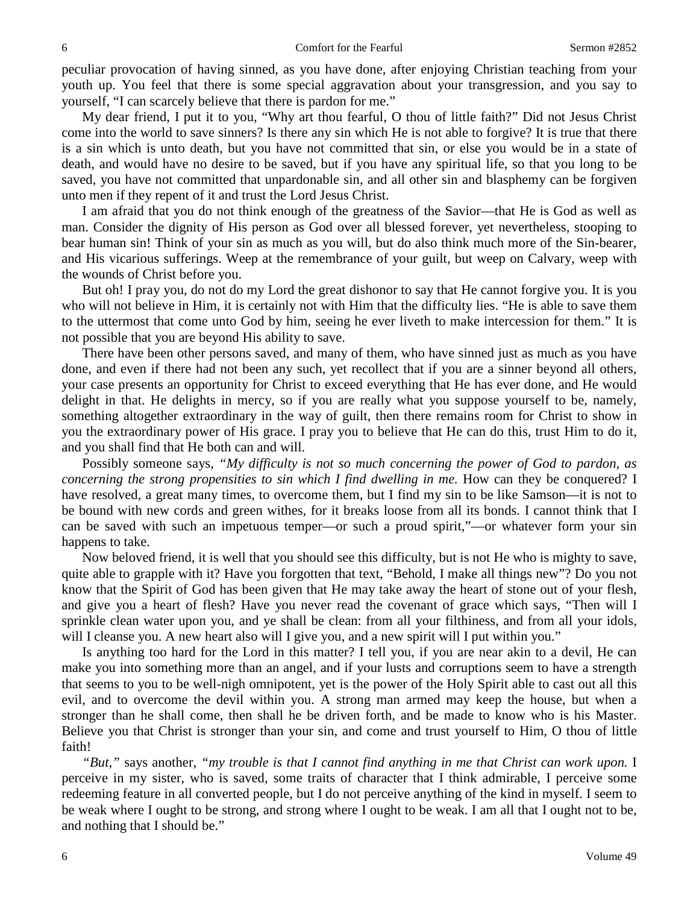peculiar provocation of having sinned, as you have done, after enjoying Christian teaching from your youth up. You feel that there is some special aggravation about your transgression, and you say to yourself, "I can scarcely believe that there is pardon for me."

My dear friend, I put it to you, "Why art thou fearful, O thou of little faith?" Did not Jesus Christ come into the world to save sinners? Is there any sin which He is not able to forgive? It is true that there is a sin which is unto death, but you have not committed that sin, or else you would be in a state of death, and would have no desire to be saved, but if you have any spiritual life, so that you long to be saved, you have not committed that unpardonable sin, and all other sin and blasphemy can be forgiven unto men if they repent of it and trust the Lord Jesus Christ.

I am afraid that you do not think enough of the greatness of the Savior—that He is God as well as man. Consider the dignity of His person as God over all blessed forever, yet nevertheless, stooping to bear human sin! Think of your sin as much as you will, but do also think much more of the Sin-bearer, and His vicarious sufferings. Weep at the remembrance of your guilt, but weep on Calvary, weep with the wounds of Christ before you.

But oh! I pray you, do not do my Lord the great dishonor to say that He cannot forgive you. It is you who will not believe in Him, it is certainly not with Him that the difficulty lies. "He is able to save them to the uttermost that come unto God by him, seeing he ever liveth to make intercession for them." It is not possible that you are beyond His ability to save.

There have been other persons saved, and many of them, who have sinned just as much as you have done, and even if there had not been any such, yet recollect that if you are a sinner beyond all others, your case presents an opportunity for Christ to exceed everything that He has ever done, and He would delight in that. He delights in mercy, so if you are really what you suppose yourself to be, namely, something altogether extraordinary in the way of guilt, then there remains room for Christ to show in you the extraordinary power of His grace. I pray you to believe that He can do this, trust Him to do it, and you shall find that He both can and will.

Possibly someone says, *"My difficulty is not so much concerning the power of God to pardon, as concerning the strong propensities to sin which I find dwelling in me.* How can they be conquered? I have resolved, a great many times, to overcome them, but I find my sin to be like Samson—it is not to be bound with new cords and green withes, for it breaks loose from all its bonds. I cannot think that I can be saved with such an impetuous temper—or such a proud spirit,"—or whatever form your sin happens to take.

Now beloved friend, it is well that you should see this difficulty, but is not He who is mighty to save, quite able to grapple with it? Have you forgotten that text, "Behold, I make all things new"? Do you not know that the Spirit of God has been given that He may take away the heart of stone out of your flesh, and give you a heart of flesh? Have you never read the covenant of grace which says, "Then will I sprinkle clean water upon you, and ye shall be clean: from all your filthiness, and from all your idols, will I cleanse you. A new heart also will I give you, and a new spirit will I put within you."

Is anything too hard for the Lord in this matter? I tell you, if you are near akin to a devil, He can make you into something more than an angel, and if your lusts and corruptions seem to have a strength that seems to you to be well-nigh omnipotent, yet is the power of the Holy Spirit able to cast out all this evil, and to overcome the devil within you. A strong man armed may keep the house, but when a stronger than he shall come, then shall he be driven forth, and be made to know who is his Master. Believe you that Christ is stronger than your sin, and come and trust yourself to Him, O thou of little faith!

*"But,"* says another, *"my trouble is that I cannot find anything in me that Christ can work upon.* I perceive in my sister, who is saved, some traits of character that I think admirable, I perceive some redeeming feature in all converted people, but I do not perceive anything of the kind in myself. I seem to be weak where I ought to be strong, and strong where I ought to be weak. I am all that I ought not to be, and nothing that I should be."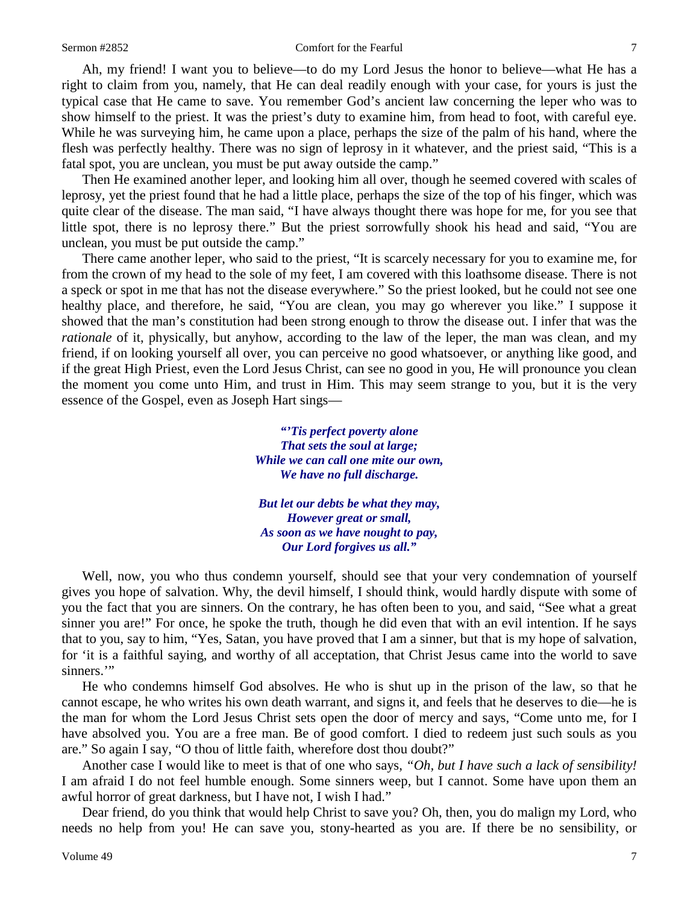#### Sermon #2852 **Comfort for the Fearful** 7

Ah, my friend! I want you to believe—to do my Lord Jesus the honor to believe—what He has a right to claim from you, namely, that He can deal readily enough with your case, for yours is just the typical case that He came to save. You remember God's ancient law concerning the leper who was to show himself to the priest. It was the priest's duty to examine him, from head to foot, with careful eye. While he was surveying him, he came upon a place, perhaps the size of the palm of his hand, where the flesh was perfectly healthy. There was no sign of leprosy in it whatever, and the priest said, "This is a fatal spot, you are unclean, you must be put away outside the camp."

Then He examined another leper, and looking him all over, though he seemed covered with scales of leprosy, yet the priest found that he had a little place, perhaps the size of the top of his finger, which was quite clear of the disease. The man said, "I have always thought there was hope for me, for you see that little spot, there is no leprosy there." But the priest sorrowfully shook his head and said, "You are unclean, you must be put outside the camp."

There came another leper, who said to the priest, "It is scarcely necessary for you to examine me, for from the crown of my head to the sole of my feet, I am covered with this loathsome disease. There is not a speck or spot in me that has not the disease everywhere." So the priest looked, but he could not see one healthy place, and therefore, he said, "You are clean, you may go wherever you like." I suppose it showed that the man's constitution had been strong enough to throw the disease out. I infer that was the *rationale* of it, physically, but anyhow, according to the law of the leper, the man was clean, and my friend, if on looking yourself all over, you can perceive no good whatsoever, or anything like good, and if the great High Priest, even the Lord Jesus Christ, can see no good in you, He will pronounce you clean the moment you come unto Him, and trust in Him. This may seem strange to you, but it is the very essence of the Gospel, even as Joseph Hart sings—

> *"'Tis perfect poverty alone That sets the soul at large; While we can call one mite our own, We have no full discharge.*

*But let our debts be what they may, However great or small, As soon as we have nought to pay, Our Lord forgives us all."*

Well, now, you who thus condemn yourself, should see that your very condemnation of yourself gives you hope of salvation. Why, the devil himself, I should think, would hardly dispute with some of you the fact that you are sinners. On the contrary, he has often been to you, and said, "See what a great sinner you are!" For once, he spoke the truth, though he did even that with an evil intention. If he says that to you, say to him, "Yes, Satan, you have proved that I am a sinner, but that is my hope of salvation, for 'it is a faithful saying, and worthy of all acceptation, that Christ Jesus came into the world to save sinners."

He who condemns himself God absolves. He who is shut up in the prison of the law, so that he cannot escape, he who writes his own death warrant, and signs it, and feels that he deserves to die—he is the man for whom the Lord Jesus Christ sets open the door of mercy and says, "Come unto me, for I have absolved you. You are a free man. Be of good comfort. I died to redeem just such souls as you are." So again I say, "O thou of little faith, wherefore dost thou doubt?"

Another case I would like to meet is that of one who says, *"Oh, but I have such a lack of sensibility!*  I am afraid I do not feel humble enough. Some sinners weep, but I cannot. Some have upon them an awful horror of great darkness, but I have not, I wish I had."

Dear friend, do you think that would help Christ to save you? Oh, then, you do malign my Lord, who needs no help from you! He can save you, stony-hearted as you are. If there be no sensibility, or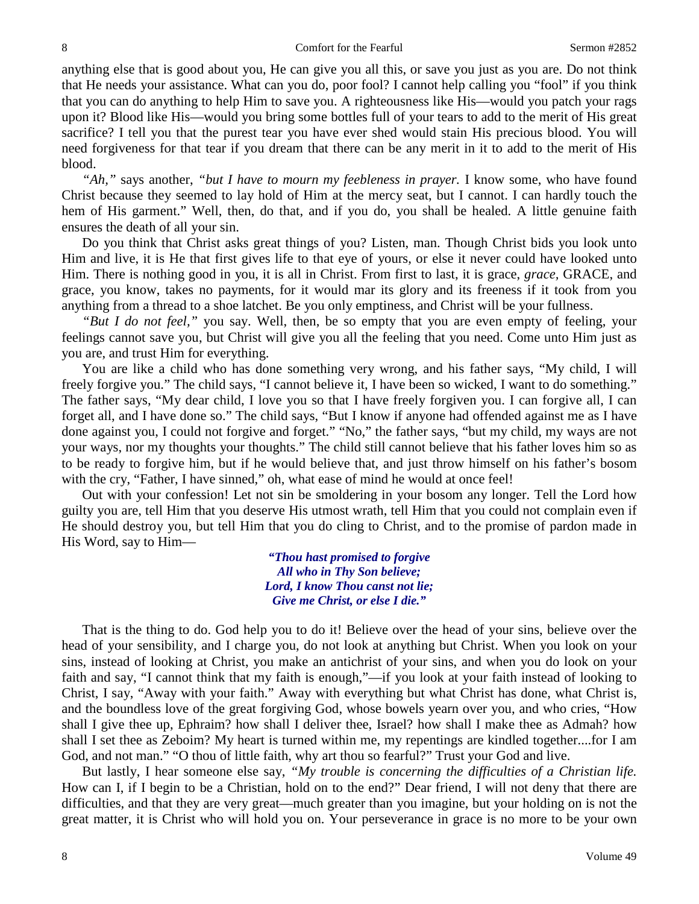anything else that is good about you, He can give you all this, or save you just as you are. Do not think that He needs your assistance. What can you do, poor fool? I cannot help calling you "fool" if you think that you can do anything to help Him to save you. A righteousness like His—would you patch your rags upon it? Blood like His—would you bring some bottles full of your tears to add to the merit of His great sacrifice? I tell you that the purest tear you have ever shed would stain His precious blood. You will need forgiveness for that tear if you dream that there can be any merit in it to add to the merit of His blood.

*"Ah,"* says another, *"but I have to mourn my feebleness in prayer.* I know some, who have found Christ because they seemed to lay hold of Him at the mercy seat, but I cannot. I can hardly touch the hem of His garment." Well, then, do that, and if you do, you shall be healed. A little genuine faith ensures the death of all your sin.

Do you think that Christ asks great things of you? Listen, man. Though Christ bids you look unto Him and live, it is He that first gives life to that eye of yours, or else it never could have looked unto Him. There is nothing good in you, it is all in Christ. From first to last, it is grace, *grace,* GRACE, and grace, you know, takes no payments, for it would mar its glory and its freeness if it took from you anything from a thread to a shoe latchet. Be you only emptiness, and Christ will be your fullness.

*"But I do not feel,"* you say. Well, then, be so empty that you are even empty of feeling, your feelings cannot save you, but Christ will give you all the feeling that you need. Come unto Him just as you are, and trust Him for everything.

You are like a child who has done something very wrong, and his father says, "My child, I will freely forgive you." The child says, "I cannot believe it, I have been so wicked, I want to do something." The father says, "My dear child, I love you so that I have freely forgiven you. I can forgive all, I can forget all, and I have done so." The child says, "But I know if anyone had offended against me as I have done against you, I could not forgive and forget." "No," the father says, "but my child, my ways are not your ways, nor my thoughts your thoughts." The child still cannot believe that his father loves him so as to be ready to forgive him, but if he would believe that, and just throw himself on his father's bosom with the cry, "Father, I have sinned," oh, what ease of mind he would at once feel!

Out with your confession! Let not sin be smoldering in your bosom any longer. Tell the Lord how guilty you are, tell Him that you deserve His utmost wrath, tell Him that you could not complain even if He should destroy you, but tell Him that you do cling to Christ, and to the promise of pardon made in His Word, say to Him—

> *"Thou hast promised to forgive All who in Thy Son believe; Lord, I know Thou canst not lie; Give me Christ, or else I die."*

That is the thing to do. God help you to do it! Believe over the head of your sins, believe over the head of your sensibility, and I charge you, do not look at anything but Christ. When you look on your sins, instead of looking at Christ, you make an antichrist of your sins, and when you do look on your faith and say, "I cannot think that my faith is enough,"—if you look at your faith instead of looking to Christ, I say, "Away with your faith." Away with everything but what Christ has done, what Christ is, and the boundless love of the great forgiving God, whose bowels yearn over you, and who cries, "How shall I give thee up, Ephraim? how shall I deliver thee, Israel? how shall I make thee as Admah? how shall I set thee as Zeboim? My heart is turned within me, my repentings are kindled together....for I am God, and not man." "O thou of little faith, why art thou so fearful?" Trust your God and live.

But lastly, I hear someone else say, *"My trouble is concerning the difficulties of a Christian life.*  How can I, if I begin to be a Christian, hold on to the end?" Dear friend, I will not deny that there are difficulties, and that they are very great—much greater than you imagine, but your holding on is not the great matter, it is Christ who will hold you on. Your perseverance in grace is no more to be your own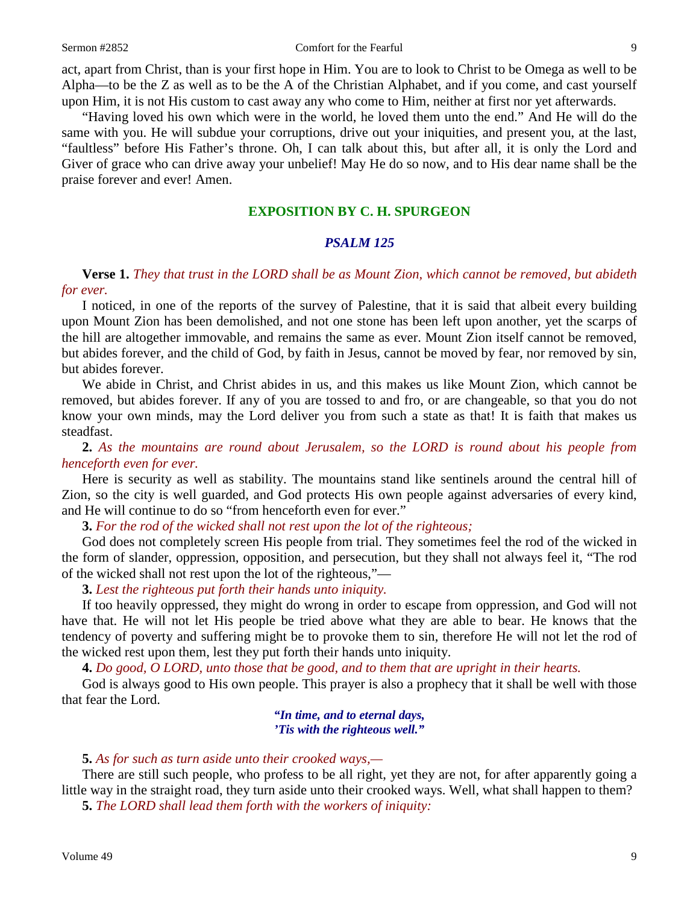#### Sermon #2852 Comfort for the Fearful 9

act, apart from Christ, than is your first hope in Him. You are to look to Christ to be Omega as well to be Alpha—to be the Z as well as to be the A of the Christian Alphabet, and if you come, and cast yourself upon Him, it is not His custom to cast away any who come to Him, neither at first nor yet afterwards.

"Having loved his own which were in the world, he loved them unto the end." And He will do the same with you. He will subdue your corruptions, drive out your iniquities, and present you, at the last, "faultless" before His Father's throne. Oh, I can talk about this, but after all, it is only the Lord and Giver of grace who can drive away your unbelief! May He do so now, and to His dear name shall be the praise forever and ever! Amen.

## **EXPOSITION BY C. H. SPURGEON**

## *PSALM 125*

**Verse 1.** *They that trust in the LORD shall be as Mount Zion, which cannot be removed, but abideth for ever.*

I noticed, in one of the reports of the survey of Palestine, that it is said that albeit every building upon Mount Zion has been demolished, and not one stone has been left upon another, yet the scarps of the hill are altogether immovable, and remains the same as ever. Mount Zion itself cannot be removed, but abides forever, and the child of God, by faith in Jesus, cannot be moved by fear, nor removed by sin, but abides forever.

We abide in Christ, and Christ abides in us, and this makes us like Mount Zion, which cannot be removed, but abides forever. If any of you are tossed to and fro, or are changeable, so that you do not know your own minds, may the Lord deliver you from such a state as that! It is faith that makes us steadfast.

**2.** *As the mountains are round about Jerusalem, so the LORD is round about his people from henceforth even for ever.*

Here is security as well as stability. The mountains stand like sentinels around the central hill of Zion, so the city is well guarded, and God protects His own people against adversaries of every kind, and He will continue to do so "from henceforth even for ever."

**3.** *For the rod of the wicked shall not rest upon the lot of the righteous;*

God does not completely screen His people from trial. They sometimes feel the rod of the wicked in the form of slander, oppression, opposition, and persecution, but they shall not always feel it, "The rod of the wicked shall not rest upon the lot of the righteous,"—

**3.** *Lest the righteous put forth their hands unto iniquity.*

If too heavily oppressed, they might do wrong in order to escape from oppression, and God will not have that. He will not let His people be tried above what they are able to bear. He knows that the tendency of poverty and suffering might be to provoke them to sin, therefore He will not let the rod of the wicked rest upon them, lest they put forth their hands unto iniquity.

**4.** *Do good, O LORD, unto those that be good, and to them that are upright in their hearts.*

God is always good to His own people. This prayer is also a prophecy that it shall be well with those that fear the Lord.

> *"In time, and to eternal days, 'Tis with the righteous well."*

## **5.** *As for such as turn aside unto their crooked ways,—*

There are still such people, who profess to be all right, yet they are not, for after apparently going a little way in the straight road, they turn aside unto their crooked ways. Well, what shall happen to them? **5.** *The LORD shall lead them forth with the workers of iniquity:*